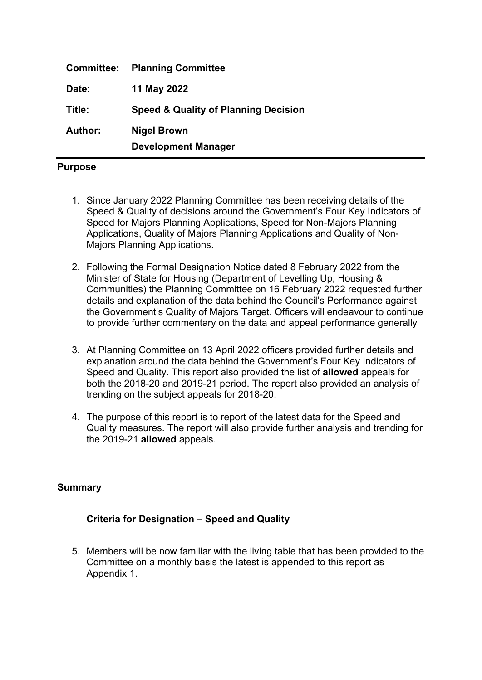| <b>Committee:</b> | <b>Planning Committee</b>                       |  |
|-------------------|-------------------------------------------------|--|
| Date:             | 11 May 2022                                     |  |
| Title:            | <b>Speed &amp; Quality of Planning Decision</b> |  |
| Author:           | <b>Nigel Brown</b>                              |  |
|                   | <b>Development Manager</b>                      |  |

#### **Purpose**

- 1. Since January 2022 Planning Committee has been receiving details of the Speed & Quality of decisions around the Government's Four Key Indicators of Speed for Majors Planning Applications, Speed for Non-Majors Planning Applications, Quality of Majors Planning Applications and Quality of Non-Majors Planning Applications.
- 2. Following the Formal Designation Notice dated 8 February 2022 from the Minister of State for Housing (Department of Levelling Up, Housing & Communities) the Planning Committee on 16 February 2022 requested further details and explanation of the data behind the Council's Performance against the Government's Quality of Majors Target. Officers will endeavour to continue to provide further commentary on the data and appeal performance generally
- 3. At Planning Committee on 13 April 2022 officers provided further details and explanation around the data behind the Government's Four Key Indicators of Speed and Quality. This report also provided the list of **allowed** appeals for both the 2018-20 and 2019-21 period. The report also provided an analysis of trending on the subject appeals for 2018-20.
- 4. The purpose of this report is to report of the latest data for the Speed and Quality measures. The report will also provide further analysis and trending for the 2019-21 **allowed** appeals.

# **Summary**

# **Criteria for Designation – Speed and Quality**

5. Members will be now familiar with the living table that has been provided to the Committee on a monthly basis the latest is appended to this report as Appendix 1.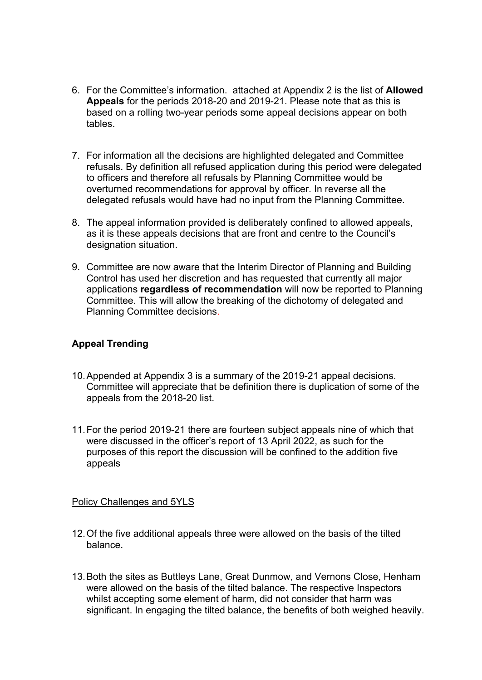- 6. For the Committee's information. attached at Appendix 2 is the list of **Allowed Appeals** for the periods 2018-20 and 2019-21. Please note that as this is based on a rolling two-year periods some appeal decisions appear on both tables.
- 7. For information all the decisions are highlighted delegated and Committee refusals. By definition all refused application during this period were delegated to officers and therefore all refusals by Planning Committee would be overturned recommendations for approval by officer. In reverse all the delegated refusals would have had no input from the Planning Committee.
- 8. The appeal information provided is deliberately confined to allowed appeals, as it is these appeals decisions that are front and centre to the Council's designation situation.
- 9. Committee are now aware that the Interim Director of Planning and Building Control has used her discretion and has requested that currently all major applications **regardless of recommendation** will now be reported to Planning Committee. This will allow the breaking of the dichotomy of delegated and Planning Committee decisions.

# **Appeal Trending**

- 10.Appended at Appendix 3 is a summary of the 2019-21 appeal decisions. Committee will appreciate that be definition there is duplication of some of the appeals from the 2018-20 list.
- 11.For the period 2019-21 there are fourteen subject appeals nine of which that were discussed in the officer's report of 13 April 2022, as such for the purposes of this report the discussion will be confined to the addition five appeals

### Policy Challenges and 5YLS

- 12.Of the five additional appeals three were allowed on the basis of the tilted balance.
- 13.Both the sites as Buttleys Lane, Great Dunmow, and Vernons Close, Henham were allowed on the basis of the tilted balance. The respective Inspectors whilst accepting some element of harm, did not consider that harm was significant. In engaging the tilted balance, the benefits of both weighed heavily.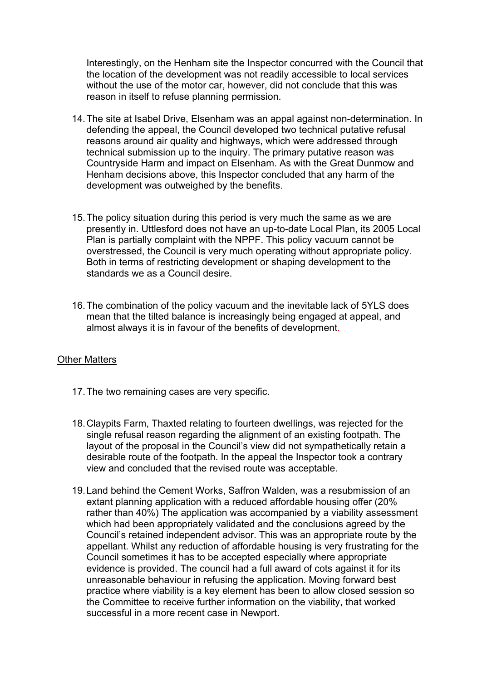Interestingly, on the Henham site the Inspector concurred with the Council that the location of the development was not readily accessible to local services without the use of the motor car, however, did not conclude that this was reason in itself to refuse planning permission.

- 14.The site at Isabel Drive, Elsenham was an appal against non-determination. In defending the appeal, the Council developed two technical putative refusal reasons around air quality and highways, which were addressed through technical submission up to the inquiry. The primary putative reason was Countryside Harm and impact on Elsenham. As with the Great Dunmow and Henham decisions above, this Inspector concluded that any harm of the development was outweighed by the benefits.
- 15.The policy situation during this period is very much the same as we are presently in. Uttlesford does not have an up-to-date Local Plan, its 2005 Local Plan is partially complaint with the NPPF. This policy vacuum cannot be overstressed, the Council is very much operating without appropriate policy. Both in terms of restricting development or shaping development to the standards we as a Council desire.
- 16.The combination of the policy vacuum and the inevitable lack of 5YLS does mean that the tilted balance is increasingly being engaged at appeal, and almost always it is in favour of the benefits of development.

### Other Matters

- 17.The two remaining cases are very specific.
- 18.Claypits Farm, Thaxted relating to fourteen dwellings, was rejected for the single refusal reason regarding the alignment of an existing footpath. The layout of the proposal in the Council's view did not sympathetically retain a desirable route of the footpath. In the appeal the Inspector took a contrary view and concluded that the revised route was acceptable.
- 19.Land behind the Cement Works, Saffron Walden, was a resubmission of an extant planning application with a reduced affordable housing offer (20% rather than 40%) The application was accompanied by a viability assessment which had been appropriately validated and the conclusions agreed by the Council's retained independent advisor. This was an appropriate route by the appellant. Whilst any reduction of affordable housing is very frustrating for the Council sometimes it has to be accepted especially where appropriate evidence is provided. The council had a full award of cots against it for its unreasonable behaviour in refusing the application. Moving forward best practice where viability is a key element has been to allow closed session so the Committee to receive further information on the viability, that worked successful in a more recent case in Newport.